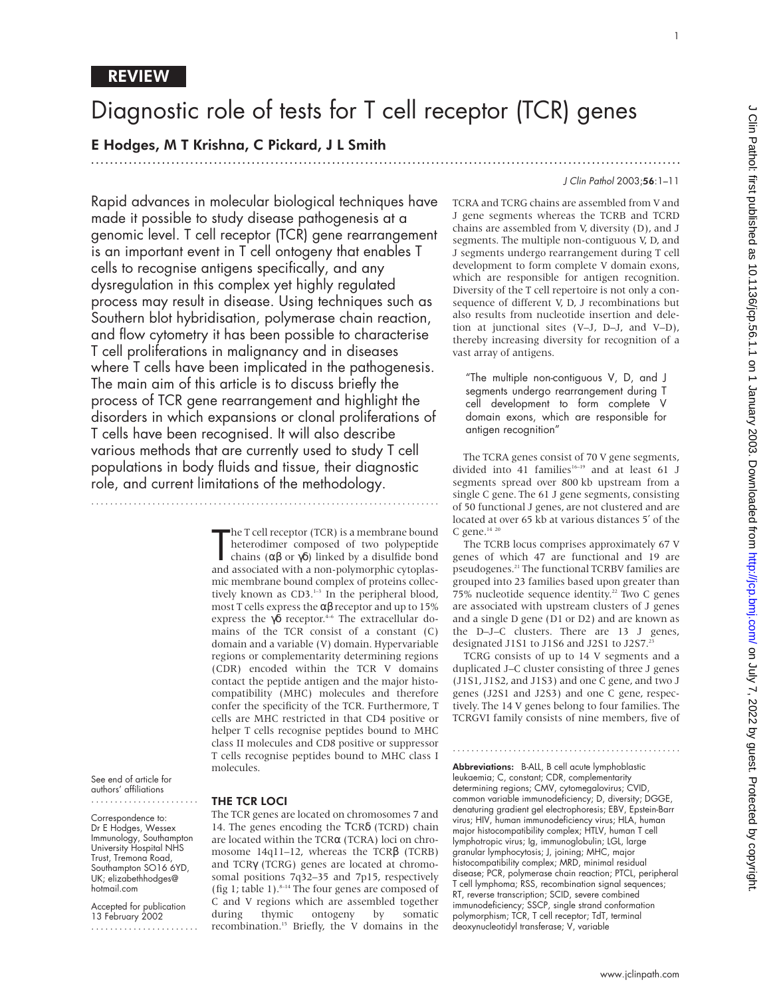# REVIEW

# Diagnostic role of tests for T cell receptor (TCR) genes

.............................................................................................................................

# E Hodges, M T Krishna, C Pickard, J L Smith

1

J Clin Pathol 2003;56:1–11

Rapid advances in molecular biological techniques have made it possible to study disease pathogenesis at a genomic level. T cell receptor (TCR) gene rearrangement is an important event in T cell ontogeny that enables T cells to recognise antigens specifically, and any dysregulation in this complex yet highly regulated process may result in disease. Using techniques such as Southern blot hybridisation, polymerase chain reaction, and flow cytometry it has been possible to characterise T cell proliferations in malignancy and in diseases where T cells have been implicated in the pathogenesis. The main aim of this article is to discuss briefly the process of TCR gene rearrangement and highlight the disorders in which expansions or clonal proliferations of T cells have been recognised. It will also describe various methods that are currently used to study T cell populations in body fluids and tissue, their diagnostic role, and current limitations of the methodology.

..........................................................................

The T cell receptor (TCR) is a membrane bound<br>heterodimer composed of two polypeptide<br>chains  $(\alpha\beta \text{ or } \gamma\delta)$  linked by a disulfide bond<br>and associated with a non-polymorphic cytoplashe T cell receptor (TCR) is a membrane bound heterodimer composed of two polypeptide chains ( $\alpha\beta$  or  $\gamma\delta$ ) linked by a disulfide bond mic membrane bound complex of proteins collectively known as CD3.<sup>1-3</sup> In the peripheral blood, most T cells express the αβ receptor and up to 15% express the γδ receptor.<sup>4-6</sup> The extracellular domains of the TCR consist of a constant (C) domain and a variable (V) domain. Hypervariable regions or complementarity determining regions (CDR) encoded within the TCR V domains contact the peptide antigen and the major histocompatibility (MHC) molecules and therefore confer the specificity of the TCR. Furthermore, T cells are MHC restricted in that CD4 positive or helper T cells recognise peptides bound to MHC class II molecules and CD8 positive or suppressor T cells recognise peptides bound to MHC class I molecules.

See end of article for authors' affiliations .......................

Correspondence to: Dr E Hodges, Wessex Immunology, Southampton University Hospital NHS Trust, Tremona Road, Southampton SO16 6YD, UK; elizabethhodges@ hotmail.com

Accepted for publication 13 February 2002 .......................

# THE TCR LOCI

The TCR genes are located on chromosomes 7 and 14. The genes encoding the ΤCRδ (TCRD) chain are located within the TCRα (TCRA) loci on chromosome 14q11–12, whereas the TCRβ (TCRB) and TCRγ (TCRG) genes are located at chromosomal positions 7q32–35 and 7p15, respectively (fig 1; table 1). $8-14$  The four genes are composed of C and V regions which are assembled together during thymic ontogeny by somatic recombination.15 Briefly, the V domains in the

TCRA and TCRG chains are assembled from V and J gene segments whereas the TCRB and TCRD chains are assembled from V, diversity (D), and J segments. The multiple non-contiguous V, D, and J segments undergo rearrangement during T cell development to form complete V domain exons, which are responsible for antigen recognition. Diversity of the T cell repertoire is not only a consequence of different V, D, J recombinations but also results from nucleotide insertion and deletion at junctional sites (V–J, D–J, and V–D), thereby increasing diversity for recognition of a vast array of antigens.

"The multiple non-contiguous V, D, and J segments undergo rearrangement during T cell development to form complete V domain exons, which are responsible for antigen recognition"

The TCRA genes consist of 70 V gene segments, divided into 41 families<sup>16-19</sup> and at least 61 J segments spread over 800 kb upstream from a single C gene. The 61 J gene segments, consisting of 50 functional J genes, are not clustered and are located at over 65 kb at various distances 5′ of the C gene. $1420$ 

The TCRB locus comprises approximately 67 V genes of which 47 are functional and 19 are pseudogenes.21 The functional TCRBV families are grouped into 23 families based upon greater than 75% nucleotide sequence identity.<sup>22</sup> Two C genes are associated with upstream clusters of J genes and a single D gene (D1 or D2) and are known as the D–J–C clusters. There are 13 J genes, designated J1S1 to J1S6 and J2S1 to J2S7.<sup>2</sup>

TCRG consists of up to 14 V segments and a duplicated J–C cluster consisting of three J genes (J1S1, J1S2, and J1S3) and one C gene, and two J genes (J2S1 and J2S3) and one C gene, respectively. The 14 V genes belong to four families. The TCRGVI family consists of nine members, five of

.................................................

Abbreviations: B-ALL, B cell acute lymphoblastic leukaemia; C, constant; CDR, complementarity determining regions; CMV, cytomegalovirus; CVID, common variable immunodeficiency; D, diversity; DGGE, denaturing gradient gel electrophoresis; EBV, Epstein-Barr virus; HIV, human immunodeficiency virus; HLA, human major histocompatibility complex; HTLV, human T cell lymphotropic virus; Ig, immunoglobulin; LGL, large granular lymphocytosis; J, joining; MHC, major histocompatibility complex; MRD, minimal residual disease; PCR, polymerase chain reaction; PTCL, peripheral T cell lymphoma; RSS, recombination signal sequences; RT, reverse transcription; SCID, severe combined immunodeficiency; SSCP, single strand conformation polymorphism; TCR, T cell receptor; TdT, terminal deoxynucleotidyl transferase; V, variable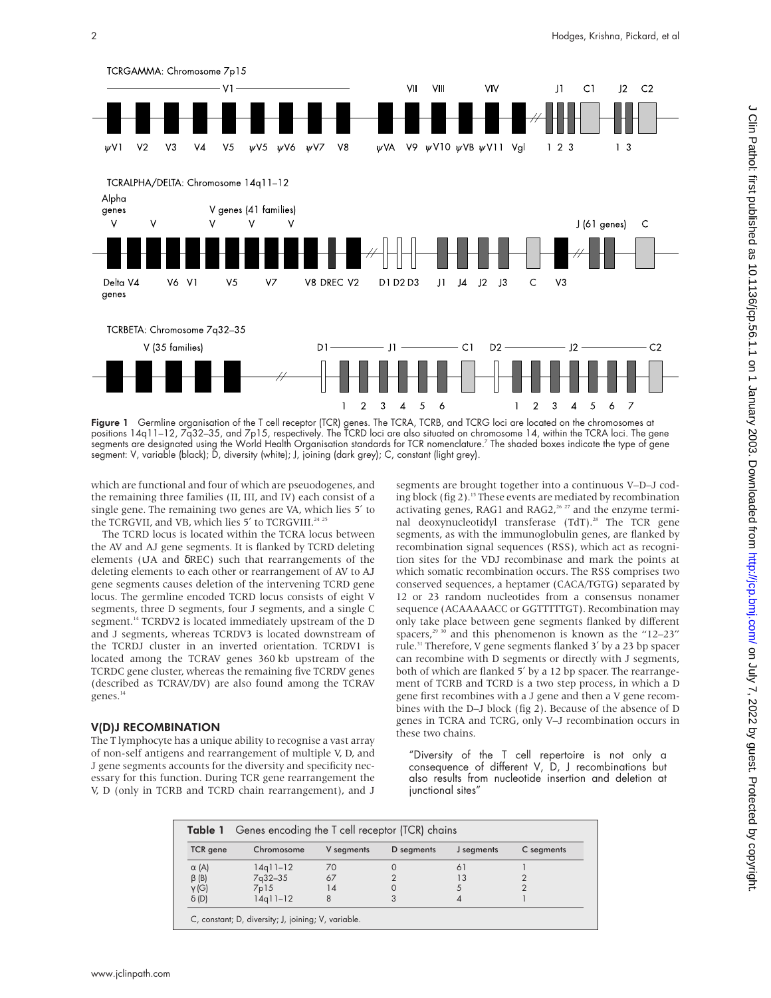

**Figure 1** Germline organisation of the T cell receptor (TCR) genes. The TCRA, TCRB, and TCRG loci are located on the chromosomes at positions 14q11–12, 7q32–35, and 7p15, respectively. The TCRD loci are also situated on chromosome 14, within the TCRA loci. The gene segments are designated using the World Health Organisation standards for TCR nomenclature.7 The shaded boxes indicate the type of gene segment: V, variable (black); D, diversity (white); J, joining (dark grey); C, constant (light grey).

which are functional and four of which are pseuodogenes, and the remaining three families (II, III, and IV) each consist of a single gene. The remaining two genes are VA, which lies 5′ to the TCRGVII, and VB, which lies 5' to TCRGVIII.<sup>24 25</sup>

The TCRD locus is located within the TCRA locus between the AV and AJ gene segments. It is flanked by TCRD deleting elements (ιJA and δREC) such that rearrangements of the deleting elements to each other or rearrangement of AV to AJ gene segments causes deletion of the intervening TCRD gene locus. The germline encoded TCRD locus consists of eight V segments, three D segments, four J segments, and a single C segment.<sup>14</sup> TCRDV2 is located immediately upstream of the D and J segments, whereas TCRDV3 is located downstream of the TCRDJ cluster in an inverted orientation. TCRDV1 is located among the TCRAV genes 360 kb upstream of the TCRDC gene cluster, whereas the remaining five TCRDV genes (described as TCRAV/DV) are also found among the TCRAV genes.<sup>14</sup>

# V(D)J RECOMBINATION

The T lymphocyte has a unique ability to recognise a vast array of non-self antigens and rearrangement of multiple V, D, and J gene segments accounts for the diversity and specificity necessary for this function. During TCR gene rearrangement the V, D (only in TCRB and TCRD chain rearrangement), and J

segments are brought together into a continuous V–D–J coding block (fig 2).<sup>15</sup> These events are mediated by recombination activating genes, RAG1 and RAG2, $2^{6}$  27 and the enzyme terminal deoxynucleotidyl transferase (TdT).<sup>28</sup> The TCR gene segments, as with the immunoglobulin genes, are flanked by recombination signal sequences (RSS), which act as recognition sites for the VDJ recombinase and mark the points at which somatic recombination occurs. The RSS comprises two conserved sequences, a heptamer (CACA/TGTG) separated by 12 or 23 random nucleotides from a consensus nonamer sequence (ACAAAAACC or GGTTTTTGT). Recombination may only take place between gene segments flanked by different spacers, $29\,30$  and this phenomenon is known as the "12–23" rule.<sup>31</sup> Therefore, V gene segments flanked 3' by a 23 bp spacer can recombine with D segments or directly with J segments, both of which are flanked 5′ by a 12 bp spacer. The rearrangement of TCRB and TCRD is a two step process, in which a D gene first recombines with a J gene and then a V gene recombines with the D–J block (fig 2). Because of the absence of D genes in TCRA and TCRG, only V–J recombination occurs in these two chains.

"Diversity of the T cell repertoire is not only a consequence of different V, D, J recombinations but also results from nucleotide insertion and deletion at junctional sites"

| TCR gene     | Chromosome | V segments | D segments | J segments | C segments |
|--------------|------------|------------|------------|------------|------------|
| $\alpha$ (A) | $14q11-12$ | 70         |            | 61         |            |
| $\beta$ (B)  | 7q32-35    | 67         |            | 13         |            |
| $\gamma$ (G) | 7p15       | 14         |            |            |            |
| $\delta$ (D) | $14q11-12$ | 8          |            |            |            |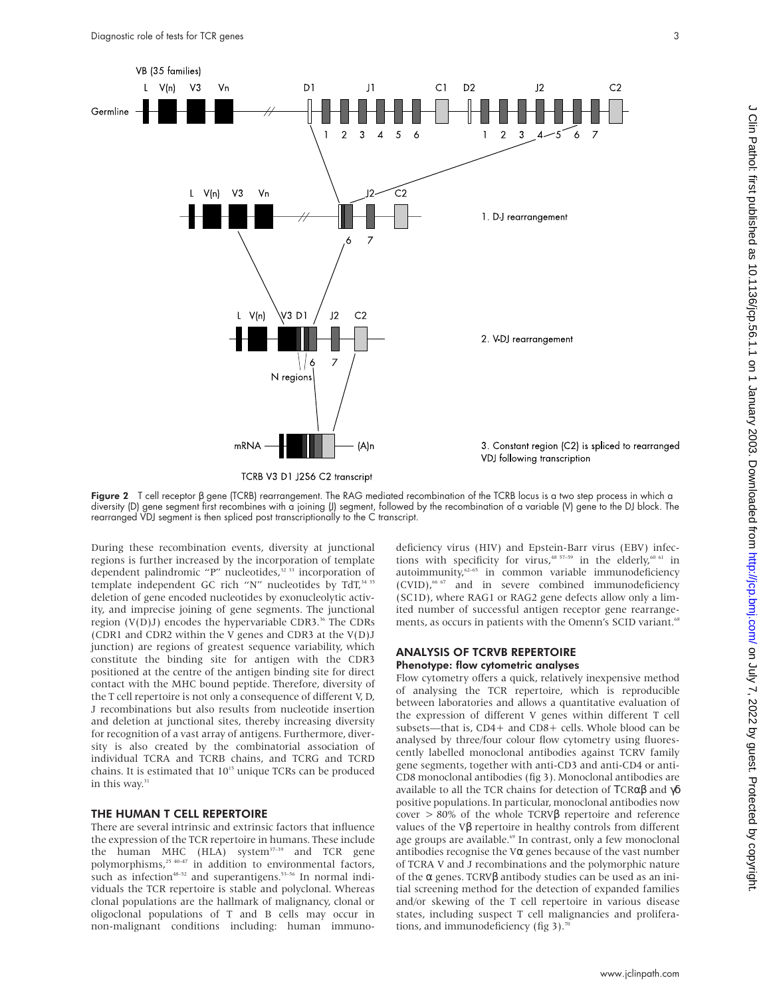

Figure 2 T cell receptor β gene (TCRB) rearrangement. The RAG mediated recombination of the TCRB locus is a two step process in which a diversity (D) gene segment first recombines with a joining (J) segment, followed by the recombination of a variable (V) gene to the DJ block. The rearranged VDJ segment is then spliced post transcriptionally to the C transcript.

During these recombination events, diversity at junctional regions is further increased by the incorporation of template dependent palindromic "P" nucleotides,<sup>32 33</sup> incorporation of template independent GC rich "N" nucleotides by TdT, $3435$ deletion of gene encoded nucleotides by exonucleolytic activity, and imprecise joining of gene segments. The junctional region  $(V(D)J)$  encodes the hypervariable CDR3.<sup>36</sup> The CDRs (CDR1 and CDR2 within the V genes and CDR3 at the V(D)J junction) are regions of greatest sequence variability, which constitute the binding site for antigen with the CDR3 positioned at the centre of the antigen binding site for direct contact with the MHC bound peptide. Therefore, diversity of the T cell repertoire is not only a consequence of different V, D, J recombinations but also results from nucleotide insertion and deletion at junctional sites, thereby increasing diversity for recognition of a vast array of antigens. Furthermore, diversity is also created by the combinatorial association of individual TCRA and TCRB chains, and TCRG and TCRD chains. It is estimated that  $10^{15}$  unique TCRs can be produced in this way. $31$ 

# THE HUMAN T CELL REPERTOIRE

There are several intrinsic and extrinsic factors that influence the expression of the TCR repertoire in humans. These include the human MHC (HLA) system<sup>37-39</sup> and TCR gene polymorphisms,<sup>25</sup> <sup>40-47</sup> in addition to environmental factors, such as infection<sup>48–52</sup> and superantigens.<sup>53–56</sup> In normal individuals the TCR repertoire is stable and polyclonal. Whereas clonal populations are the hallmark of malignancy, clonal or oligoclonal populations of T and B cells may occur in non-malignant conditions including: human immunodeficiency virus (HIV) and Epstein-Barr virus (EBV) infections with specificity for virus,<sup>48 57-59</sup> in the elderly,<sup>60 61</sup> in autoimmunity,<sup>62-65</sup> in common variable immunodeficiency (CVID),<sup>66 67</sup> and in severe combined immunodeficiency (SC1D), where RAG1 or RAG2 gene defects allow only a limited number of successful antigen receptor gene rearrangements, as occurs in patients with the Omenn's SCID variant.<sup>68</sup>

# ANALYSIS OF TCRVB REPERTOIRE Phenotype: flow cytometric analyses

Flow cytometry offers a quick, relatively inexpensive method of analysing the TCR repertoire, which is reproducible between laboratories and allows a quantitative evaluation of the expression of different V genes within different T cell subsets—that is, CD4+ and CD8+ cells. Whole blood can be analysed by three/four colour flow cytometry using fluorescently labelled monoclonal antibodies against TCRV family gene segments, together with anti-CD3 and anti-CD4 or anti-CD8 monoclonal antibodies (fig 3). Monoclonal antibodies are available to all the TCR chains for detection of TCRαβ and  $\gamma\delta$ positive populations. In particular, monoclonal antibodies now cover > 80% of the whole TCRVβ repertoire and reference values of the Vβ repertoire in healthy controls from different age groups are available.<sup>69</sup> In contrast, only a few monoclonal antibodies recognise the Vα genes because of the vast number of TCRA V and J recombinations and the polymorphic nature of the α genes. TCRVβ antibody studies can be used as an initial screening method for the detection of expanded families and/or skewing of the T cell repertoire in various disease states, including suspect T cell malignancies and proliferations, and immunodeficiency (fig 3).<sup>70</sup>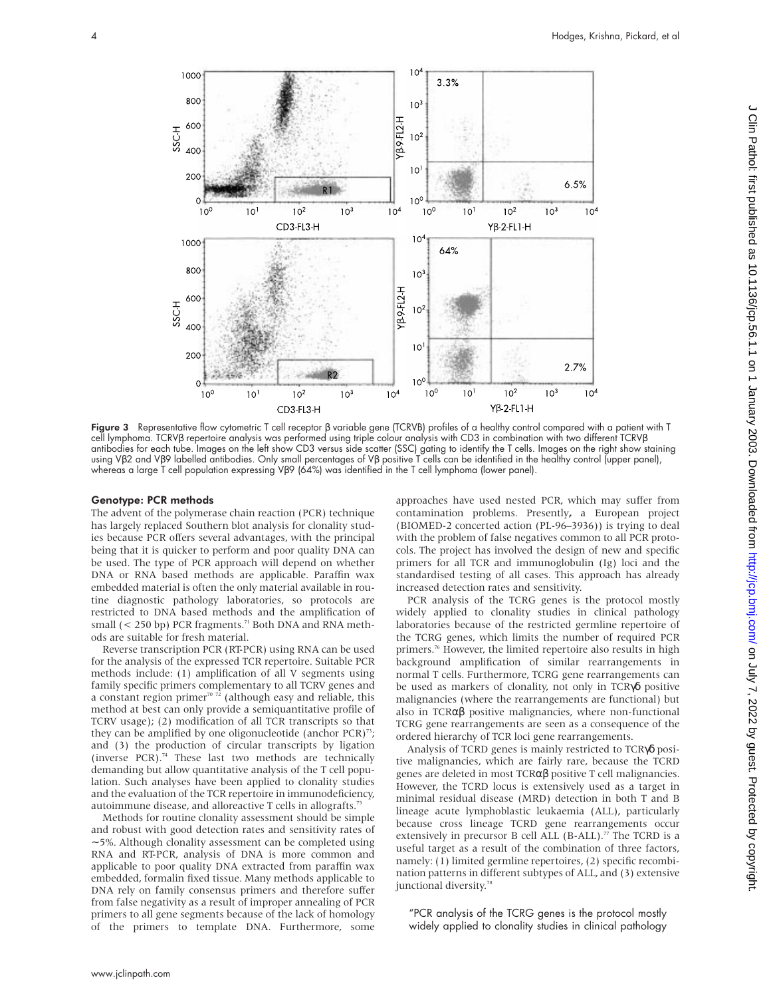

Figure 3 Representative flow cytometric T cell receptor β variable gene (TCRVB) profiles of a healthy control compared with a patient with T cell lymphoma. TCRVβ repertoire analysis was performed using triple colour analysis with CD3 in combination with two different TCRVβ antibodies for each tube. Images on the left show CD3 versus side scatter (SSC) gating to identify the T cells. Images on the right show staining using Vβ2 and Vβ9 labelled antibodies. Only small percentages of Vβ positive T cells can be identified in the healthy control (upper panel), whereas a large T cell population expressing Vβ9 (64%) was identified in the T cell lymphoma (lower panel).

### Genotype: PCR methods

The advent of the polymerase chain reaction (PCR) technique has largely replaced Southern blot analysis for clonality studies because PCR offers several advantages, with the principal being that it is quicker to perform and poor quality DNA can be used. The type of PCR approach will depend on whether DNA or RNA based methods are applicable. Paraffin wax embedded material is often the only material available in routine diagnostic pathology laboratories, so protocols are restricted to DNA based methods and the amplification of small ( $<$  250 bp) PCR fragments.<sup>71</sup> Both DNA and RNA methods are suitable for fresh material.

Reverse transcription PCR (RT-PCR) using RNA can be used for the analysis of the expressed TCR repertoire. Suitable PCR methods include: (1) amplification of all V segments using family specific primers complementary to all TCRV genes and a constant region primer<sup>70 72</sup> (although easy and reliable, this method at best can only provide a semiquantitative profile of TCRV usage); (2) modification of all TCR transcripts so that they can be amplified by one oligonucleotide (anchor  $PCR$ )<sup>73</sup>; and (3) the production of circular transcripts by ligation (inverse PCR).74 These last two methods are technically demanding but allow quantitative analysis of the T cell population. Such analyses have been applied to clonality studies and the evaluation of the TCR repertoire in immunodeficiency, autoimmune disease, and alloreactive T cells in allografts.<sup>75</sup>

Methods for routine clonality assessment should be simple and robust with good detection rates and sensitivity rates of ∼ 5%. Although clonality assessment can be completed using RNA and RT-PCR, analysis of DNA is more common and applicable to poor quality DNA extracted from paraffin wax embedded, formalin fixed tissue. Many methods applicable to DNA rely on family consensus primers and therefore suffer from false negativity as a result of improper annealing of PCR primers to all gene segments because of the lack of homology of the primers to template DNA. Furthermore, some

approaches have used nested PCR, which may suffer from contamination problems. Presently**,** a European project (BIOMED-2 concerted action (PL-96–3936)) is trying to deal with the problem of false negatives common to all PCR protocols. The project has involved the design of new and specific primers for all TCR and immunoglobulin (Ig) loci and the standardised testing of all cases. This approach has already increased detection rates and sensitivity.

PCR analysis of the TCRG genes is the protocol mostly widely applied to clonality studies in clinical pathology laboratories because of the restricted germline repertoire of the TCRG genes, which limits the number of required PCR primers.<sup>76</sup> However, the limited repertoire also results in high background amplification of similar rearrangements in normal T cells. Furthermore, TCRG gene rearrangements can be used as markers of clonality, not only in TCRγδ positive malignancies (where the rearrangements are functional) but also in TCRαβ positive malignancies, where non-functional TCRG gene rearrangements are seen as a consequence of the ordered hierarchy of TCR loci gene rearrangements.

Analysis of TCRD genes is mainly restricted to TCRγδ positive malignancies, which are fairly rare, because the TCRD genes are deleted in most TCRαβ positive T cell malignancies. However, the TCRD locus is extensively used as a target in minimal residual disease (MRD) detection in both T and B lineage acute lymphoblastic leukaemia (ALL), particularly because cross lineage TCRD gene rearrangements occur extensively in precursor B cell ALL  $(B-ALL)$ .<sup>77</sup> The TCRD is a useful target as a result of the combination of three factors, namely: (1) limited germline repertoires, (2) specific recombination patterns in different subtypes of ALL, and (3) extensive junctional diversity.<sup>78</sup>

"PCR analysis of the TCRG genes is the protocol mostly widely applied to clonality studies in clinical pathology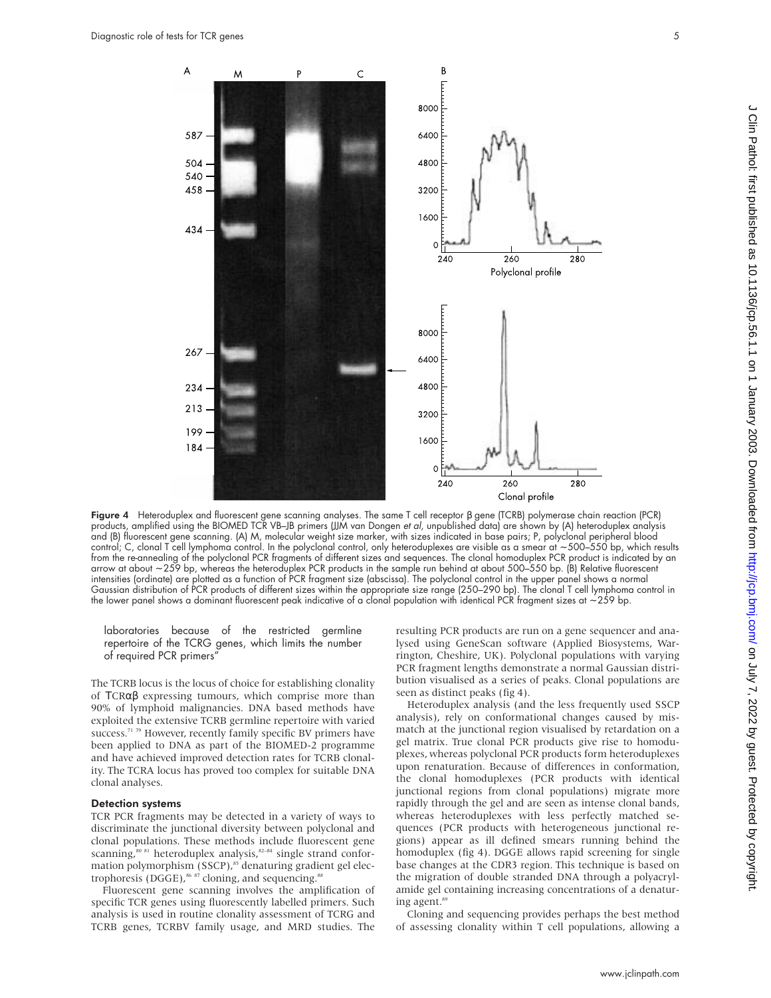

Figure 4 Heteroduplex and fluorescent gene scanning analyses. The same T cell receptor β gene (TCRB) polymerase chain reaction (PCR) products, amplified using the BIOMED TCR VB–JB primers (JJM van Dongen et al, unpublished data) are shown by (A) heteroduplex analysis and (B) fluorescent gene scanning. (A) M, molecular weight size marker, with sizes indicated in base pairs; P, polyclonal peripheral blood control; C, clonal T cell lymphoma control. In the polyclonal control, only heteroduplexes are visible as a smear at ∼ 500–550 bp, which results from the re-annealing of the polyclonal PCR fragments of different sizes and sequences. The clonal homoduplex PCR product is indicated by an arrow at about ∼ 259 bp, whereas the heteroduplex PCR products in the sample run behind at about 500–550 bp. (B) Relative fluorescent intensities (ordinate) are plotted as a function of PCR fragment size (abscissa). The polyclonal control in the upper panel shows a normal Gaussian distribution of PCR products of different sizes within the appropriate size range (250–290 bp). The clonal T cell lymphoma control in the lower panel shows a dominant fluorescent peak indicative of a clonal population with identical PCR fragment sizes at ∼ 259 bp.

laboratories because of the restricted germline repertoire of the TCRG genes, which limits the number of required PCR primers"

The TCRB locus is the locus of choice for establishing clonality of ΤCRαβ expressing tumours, which comprise more than 90% of lymphoid malignancies. DNA based methods have exploited the extensive TCRB germline repertoire with varied success.<sup>71</sup> <sup>79</sup> However, recently family specific BV primers have been applied to DNA as part of the BIOMED-2 programme and have achieved improved detection rates for TCRB clonality. The TCRA locus has proved too complex for suitable DNA clonal analyses.

#### Detection systems

TCR PCR fragments may be detected in a variety of ways to discriminate the junctional diversity between polyclonal and clonal populations. These methods include fluorescent gene scanning,<sup>80 81</sup> heteroduplex analysis,<sup>82-84</sup> single strand conformation polymorphism (SSCP),<sup>85</sup> denaturing gradient gel electrophoresis (DGGE),<sup>86 87</sup> cloning, and sequencing.<sup>88</sup>

Fluorescent gene scanning involves the amplification of specific TCR genes using fluorescently labelled primers. Such analysis is used in routine clonality assessment of TCRG and TCRB genes, TCRBV family usage, and MRD studies. The resulting PCR products are run on a gene sequencer and analysed using GeneScan software (Applied Biosystems, Warrington, Cheshire, UK). Polyclonal populations with varying PCR fragment lengths demonstrate a normal Gaussian distribution visualised as a series of peaks. Clonal populations are seen as distinct peaks (fig 4).

Heteroduplex analysis (and the less frequently used SSCP analysis), rely on conformational changes caused by mismatch at the junctional region visualised by retardation on a gel matrix. True clonal PCR products give rise to homoduplexes, whereas polyclonal PCR products form heteroduplexes upon renaturation. Because of differences in conformation, the clonal homoduplexes (PCR products with identical junctional regions from clonal populations) migrate more rapidly through the gel and are seen as intense clonal bands, whereas heteroduplexes with less perfectly matched sequences (PCR products with heterogeneous junctional regions) appear as ill defined smears running behind the homoduplex (fig 4). DGGE allows rapid screening for single base changes at the CDR3 region. This technique is based on the migration of double stranded DNA through a polyacrylamide gel containing increasing concentrations of a denaturing agent.<sup>89</sup>

Cloning and sequencing provides perhaps the best method of assessing clonality within T cell populations, allowing a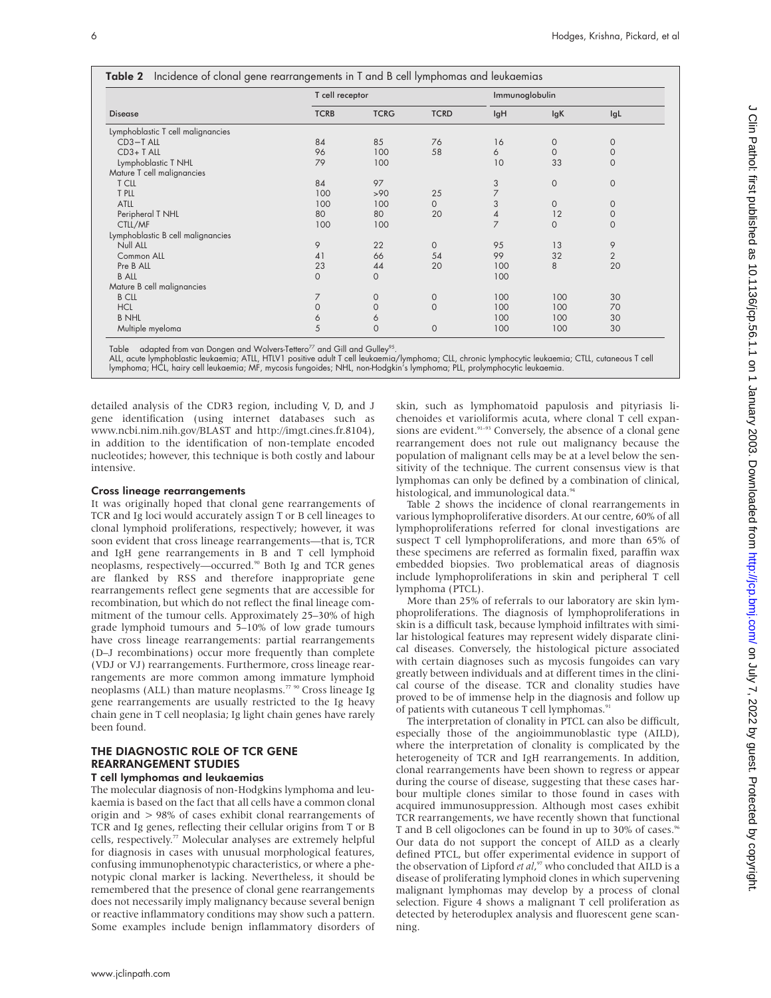|                                   | T cell receptor |              |             | Immunoglobulin |              |                |
|-----------------------------------|-----------------|--------------|-------------|----------------|--------------|----------------|
| <b>Disease</b>                    | <b>TCRB</b>     | <b>TCRG</b>  | <b>TCRD</b> | lgH            | lgK          | lgL            |
| Lymphoblastic T cell malignancies |                 |              |             |                |              |                |
| CD3-TALL                          | 84              | 85           | 76          | 16             | $\mathbf{O}$ | 0              |
| $CD3+T$ ALL                       | 96              | 100          | 58          | 6              | $\Omega$     | 0              |
| Lymphoblastic T NHL               | 79              | 100          |             | 10             | 33           | 0              |
| Mature T cell malignancies        |                 |              |             |                |              |                |
| T CLL                             | 84              | 97           |             | 3              | $\circ$      | 0              |
| T PLL                             | 100             | >90          | 25          | $\overline{7}$ |              |                |
| <b>ATLL</b>                       | 100             | 100          | $\mathbf 0$ | 3              | $\mathbf{O}$ | $\circ$        |
| Peripheral T NHL                  | 80              | 80           | 20          | 4              | 12           | 0              |
| CTLL/MF                           | 100             | 100          |             | $\overline{7}$ | $\mathbf{O}$ | 0              |
| Lymphoblastic B cell malignancies |                 |              |             |                |              |                |
| Null ALL                          | 9               | 22           | 0           | 95             | 13           | 9              |
| Common ALL                        | 41              | 66           | 54          | 99             | 32           | $\overline{2}$ |
| Pre B ALL                         | 23              | 44           | 20          | 100            | 8            | 20             |
| <b>B ALL</b>                      | $\Omega$        | $\mathbf{O}$ |             | 100            |              |                |
| Mature B cell malignancies        |                 |              |             |                |              |                |
| <b>B CLL</b>                      |                 | $\mathbf 0$  | 0           | 100            | 100          | 30             |
| <b>HCL</b>                        | $\Omega$        | $\mathbf 0$  | $\mathbf 0$ | 100            | 100          | 70             |
| <b>B NHL</b>                      | 6               | 6            |             | 100            | 100          | 30             |
| Multiple myeloma                  | 5               | $\mathbf 0$  | $\mathbf 0$ | 100            | 100          | 30             |

Table adapted from van Dongen and Wolvers-Tettero<sup>77</sup> and Gill and Gulley<sup>95</sup>

ALL, acute lymphoblastic leukaemia; ATLL, HTLV1 positive adult T cell leukaemia/lymphoma; CLL, chronic lymphocytic leukaemia; CTLL, cutaneous T cell lymphoma; HCL, hairy cell leukaemia; MF, mycosis fungoides; NHL, non-Hodgkin's lymphoma; PLL, prolymphocytic leukaemia.

detailed analysis of the CDR3 region, including V, D, and J gene identification (using internet databases such as www.ncbi.nim.nih.gov/BLAST and http://imgt.cines.fr.8104), in addition to the identification of non-template encoded nucleotides; however, this technique is both costly and labour intensive.

#### Cross lineage rearrangements

It was originally hoped that clonal gene rearrangements of TCR and Ig loci would accurately assign T or B cell lineages to clonal lymphoid proliferations, respectively; however, it was soon evident that cross lineage rearrangements—that is, TCR and IgH gene rearrangements in B and T cell lymphoid neoplasms, respectively—occurred.90 Both Ig and TCR genes are flanked by RSS and therefore inappropriate gene rearrangements reflect gene segments that are accessible for recombination, but which do not reflect the final lineage commitment of the tumour cells. Approximately 25–30% of high grade lymphoid tumours and 5–10% of low grade tumours have cross lineage rearrangements: partial rearrangements (D–J recombinations) occur more frequently than complete (VDJ or VJ) rearrangements. Furthermore, cross lineage rearrangements are more common among immature lymphoid neoplasms (ALL) than mature neoplasms.<sup>77</sup> 90 Cross lineage Ig gene rearrangements are usually restricted to the Ig heavy chain gene in T cell neoplasia; Ig light chain genes have rarely been found.

# THE DIAGNOSTIC ROLE OF TCR GENE REARRANGEMENT STUDIES

# T cell lymphomas and leukaemias

The molecular diagnosis of non-Hodgkins lymphoma and leukaemia is based on the fact that all cells have a common clonal origin and > 98% of cases exhibit clonal rearrangements of TCR and Ig genes, reflecting their cellular origins from T or B cells, respectively.<sup>77</sup> Molecular analyses are extremely helpful for diagnosis in cases with unusual morphological features, confusing immunophenotypic characteristics, or where a phenotypic clonal marker is lacking. Nevertheless, it should be remembered that the presence of clonal gene rearrangements does not necessarily imply malignancy because several benign or reactive inflammatory conditions may show such a pattern. Some examples include benign inflammatory disorders of

skin, such as lymphomatoid papulosis and pityriasis lichenoides et varioliformis acuta, where clonal T cell expansions are evident.<sup>91-93</sup> Conversely, the absence of a clonal gene rearrangement does not rule out malignancy because the population of malignant cells may be at a level below the sensitivity of the technique. The current consensus view is that lymphomas can only be defined by a combination of clinical, histological, and immunological data.<sup>94</sup>

Table 2 shows the incidence of clonal rearrangements in various lymphoproliferative disorders. At our centre, 60% of all lymphoproliferations referred for clonal investigations are suspect T cell lymphoproliferations, and more than 65% of these specimens are referred as formalin fixed, paraffin wax embedded biopsies. Two problematical areas of diagnosis include lymphoproliferations in skin and peripheral T cell lymphoma (PTCL).

More than 25% of referrals to our laboratory are skin lymphoproliferations. The diagnosis of lymphoproliferations in skin is a difficult task, because lymphoid infiltrates with similar histological features may represent widely disparate clinical diseases. Conversely, the histological picture associated with certain diagnoses such as mycosis fungoides can vary greatly between individuals and at different times in the clinical course of the disease. TCR and clonality studies have proved to be of immense help in the diagnosis and follow up of patients with cutaneous T cell lymphomas.<sup>91</sup>

The interpretation of clonality in PTCL can also be difficult, especially those of the angioimmunoblastic type (AILD), where the interpretation of clonality is complicated by the heterogeneity of TCR and IgH rearrangements. In addition, clonal rearrangements have been shown to regress or appear during the course of disease, suggesting that these cases harbour multiple clones similar to those found in cases with acquired immunosuppression. Although most cases exhibit TCR rearrangements, we have recently shown that functional T and B cell oligoclones can be found in up to 30% of cases.<sup>96</sup> Our data do not support the concept of AILD as a clearly defined PTCL, but offer experimental evidence in support of the observation of Lipford et al,<sup>97</sup> who concluded that AILD is a disease of proliferating lymphoid clones in which supervening malignant lymphomas may develop by a process of clonal selection. Figure 4 shows a malignant T cell proliferation as detected by heteroduplex analysis and fluorescent gene scanning.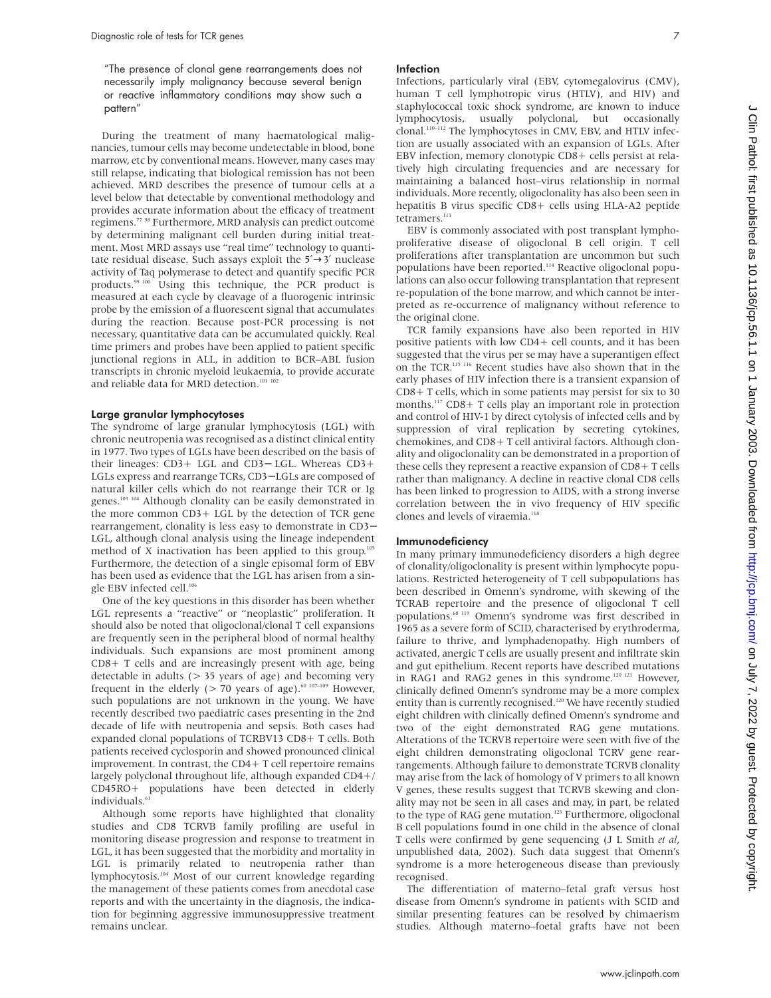"The presence of clonal gene rearrangements does not necessarily imply malignancy because several benign or reactive inflammatory conditions may show such a pattern"

During the treatment of many haematological malignancies, tumour cells may become undetectable in blood, bone marrow, etc by conventional means. However, many cases may still relapse, indicating that biological remission has not been achieved. MRD describes the presence of tumour cells at a level below that detectable by conventional methodology and provides accurate information about the efficacy of treatment regimens.77 98 Furthermore, MRD analysis can predict outcome by determining malignant cell burden during initial treatment. Most MRD assays use "real time" technology to quantitate residual disease. Such assays exploit the 5′→3′ nuclease activity of Taq polymerase to detect and quantify specific PCR products.<sup>99 100</sup> Using this technique, the PCR product is measured at each cycle by cleavage of a fluorogenic intrinsic probe by the emission of a fluorescent signal that accumulates during the reaction. Because post-PCR processing is not necessary, quantitative data can be accumulated quickly. Real time primers and probes have been applied to patient specific junctional regions in ALL, in addition to BCR–ABL fusion transcripts in chronic myeloid leukaemia, to provide accurate and reliable data for MRD detection.<sup>101 102</sup>

# Large granular lymphocytoses

The syndrome of large granular lymphocytosis (LGL) with chronic neutropenia was recognised as a distinct clinical entity in 1977. Two types of LGLs have been described on the basis of their lineages: CD3+ LGL and CD3− LGL. Whereas CD3+ LGLs express and rearrange TCRs, CD3− LGLs are composed of natural killer cells which do not rearrange their TCR or Ig genes.<sup>103 104</sup> Although clonality can be easily demonstrated in the more common CD3+ LGL by the detection of TCR gene rearrangement, clonality is less easy to demonstrate in CD3− LGL, although clonal analysis using the lineage independent method of X inactivation has been applied to this group.<sup>105</sup> Furthermore, the detection of a single episomal form of EBV has been used as evidence that the LGL has arisen from a single EBV infected cell.<sup>106</sup>

One of the key questions in this disorder has been whether LGL represents a "reactive" or "neoplastic" proliferation. It should also be noted that oligoclonal/clonal T cell expansions are frequently seen in the peripheral blood of normal healthy individuals. Such expansions are most prominent among CD8+ T cells and are increasingly present with age, being detectable in adults (> 35 years of age) and becoming very frequent in the elderly ( $> 70$  years of age).<sup>60 107–109</sup> However, such populations are not unknown in the young. We have recently described two paediatric cases presenting in the 2nd decade of life with neutropenia and sepsis. Both cases had expanded clonal populations of TCRBV13 CD8+ T cells. Both patients received cyclosporin and showed pronounced clinical improvement. In contrast, the CD4+ T cell repertoire remains largely polyclonal throughout life, although expanded CD4+/ CD45RO+ populations have been detected in elderly individuals.<sup>61</sup>

Although some reports have highlighted that clonality studies and CD8 TCRVB family profiling are useful in monitoring disease progression and response to treatment in LGL, it has been suggested that the morbidity and mortality in LGL is primarily related to neutropenia rather than lymphocytosis.<sup>104</sup> Most of our current knowledge regarding the management of these patients comes from anecdotal case reports and with the uncertainty in the diagnosis, the indication for beginning aggressive immunosuppressive treatment remains unclear.

# Infection

Infections, particularly viral (EBV, cytomegalovirus (CMV), human T cell lymphotropic virus (HTLV), and HIV) and staphylococcal toxic shock syndrome, are known to induce lymphocytosis, usually polyclonal, but occasionally clonal.110–112 The lymphocytoses in CMV, EBV, and HTLV infection are usually associated with an expansion of LGLs. After EBV infection, memory clonotypic CD8+ cells persist at relatively high circulating frequencies and are necessary for maintaining a balanced host–virus relationship in normal individuals. More recently, oligoclonality has also been seen in hepatitis B virus specific CD8+ cells using HLA-A2 peptide tetramers.  $^{\rm 113}$ 

EBV is commonly associated with post transplant lymphoproliferative disease of oligoclonal B cell origin. T cell proliferations after transplantation are uncommon but such populations have been reported.<sup>114</sup> Reactive oligoclonal populations can also occur following transplantation that represent re-population of the bone marrow, and which cannot be interpreted as re-occurrence of malignancy without reference to the original clone.

TCR family expansions have also been reported in HIV positive patients with low CD4+ cell counts, and it has been suggested that the virus per se may have a superantigen effect on the TCR.115 116 Recent studies have also shown that in the early phases of HIV infection there is a transient expansion of CD8+ T cells, which in some patients may persist for six to 30 months.<sup>117</sup> CD8+ T cells play an important role in protection and control of HIV-1 by direct cytolysis of infected cells and by suppression of viral replication by secreting cytokines, chemokines, and CD8+ T cell antiviral factors. Although clonality and oligoclonality can be demonstrated in a proportion of these cells they represent a reactive expansion of CD8+ T cells rather than malignancy. A decline in reactive clonal CD8 cells has been linked to progression to AIDS, with a strong inverse correlation between the in vivo frequency of HIV specific clones and levels of viraemia.<sup>118</sup>

## Immunodeficiency

In many primary immunodeficiency disorders a high degree of clonality/oligoclonality is present within lymphocyte populations. Restricted heterogeneity of T cell subpopulations has been described in Omenn's syndrome, with skewing of the TCRAB repertoire and the presence of oligoclonal T cell populations.68 119 Omenn's syndrome was first described in 1965 as a severe form of SCID, characterised by erythroderma, failure to thrive, and lymphadenopathy. High numbers of activated, anergic T cells are usually present and infiltrate skin and gut epithelium. Recent reports have described mutations in RAG1 and RAG2 genes in this syndrome.<sup>120 121</sup> However, clinically defined Omenn's syndrome may be a more complex entity than is currently recognised.<sup>120</sup> We have recently studied eight children with clinically defined Omenn's syndrome and two of the eight demonstrated RAG gene mutations. Alterations of the TCRVB repertoire were seen with five of the eight children demonstrating oligoclonal TCRV gene rearrangements. Although failure to demonstrate TCRVB clonality may arise from the lack of homology of V primers to all known V genes, these results suggest that TCRVB skewing and clonality may not be seen in all cases and may, in part, be related to the type of RAG gene mutation.<sup>123</sup> Furthermore, oligoclonal B cell populations found in one child in the absence of clonal T cells were confirmed by gene sequencing (J L Smith *et al*, unpublished data, 2002). Such data suggest that Omenn's syndrome is a more heterogeneous disease than previously recognised.

The differentiation of materno–fetal graft versus host disease from Omenn's syndrome in patients with SCID and similar presenting features can be resolved by chimaerism studies. Although materno–foetal grafts have not been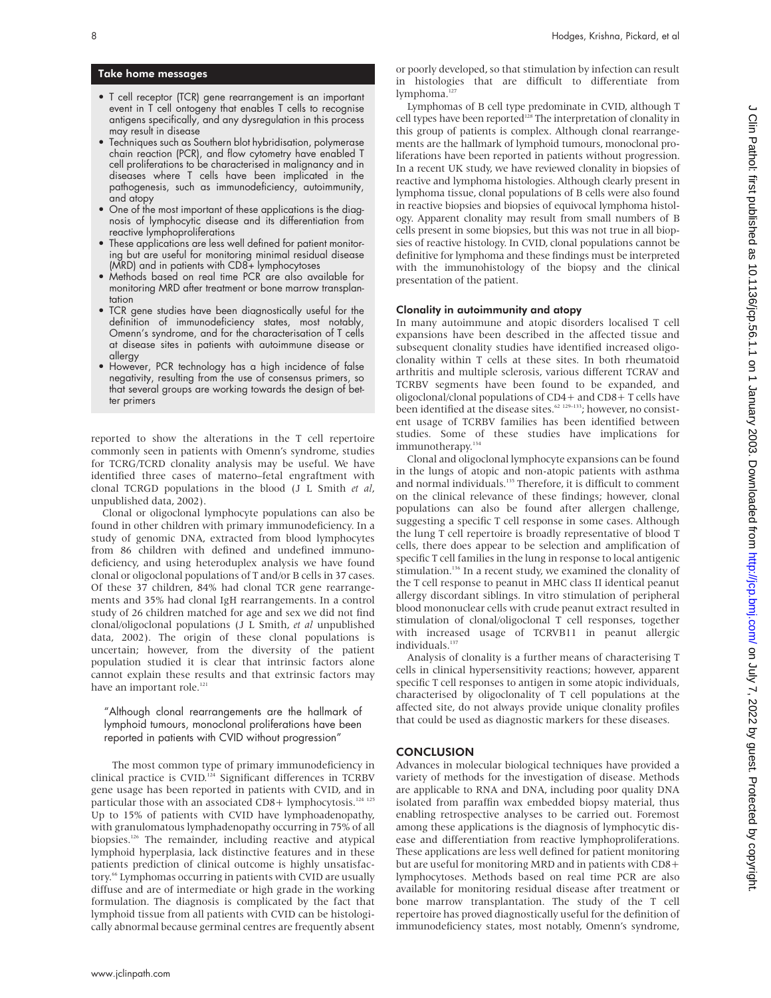# Take home messages

- T cell receptor (TCR) gene rearrangement is an important event in T cell ontogeny that enables T cells to recognise antigens specifically, and any dysregulation in this process may result in disease
- Techniques such as Southern blot hybridisation, polymerase chain reaction (PCR), and flow cytometry have enabled T cell proliferations to be characterised in malignancy and in diseases where T cells have been implicated in the pathogenesis, such as immunodeficiency, autoimmunity, and atopy
- One of the most important of these applications is the diagnosis of lymphocytic disease and its differentiation from reactive lymphoproliferations
- These applications are less well defined for patient monitoring but are useful for monitoring minimal residual disease (MRD) and in patients with CD8+ lymphocytoses
- Methods based on real time PCR are also available for monitoring MRD after treatment or bone marrow transplantation
- TCR gene studies have been diagnostically useful for the definition of immunodeficiency states, most notably, Omenn's syndrome, and for the characterisation of T cells at disease sites in patients with autoimmune disease or allergy
- However, PCR technology has a high incidence of false negativity, resulting from the use of consensus primers, so that several groups are working towards the design of better primers

reported to show the alterations in the T cell repertoire commonly seen in patients with Omenn's syndrome, studies for TCRG/TCRD clonality analysis may be useful. We have identified three cases of materno–fetal engraftment with clonal TCRGD populations in the blood (J L Smith *et al*, unpublished data, 2002).

Clonal or oligoclonal lymphocyte populations can also be found in other children with primary immunodeficiency. In a study of genomic DNA, extracted from blood lymphocytes from 86 children with defined and undefined immunodeficiency, and using heteroduplex analysis we have found clonal or oligoclonal populations of T and/or B cells in 37 cases. Of these 37 children, 84% had clonal TCR gene rearrangements and 35% had clonal IgH rearrangements. In a control study of 26 children matched for age and sex we did not find clonal/oligoclonal populations (J L Smith, *et al* unpublished data, 2002). The origin of these clonal populations is uncertain; however, from the diversity of the patient population studied it is clear that intrinsic factors alone cannot explain these results and that extrinsic factors may have an important role.<sup>121</sup>

"Although clonal rearrangements are the hallmark of lymphoid tumours, monoclonal proliferations have been reported in patients with CVID without progression"

The most common type of primary immunodeficiency in clinical practice is CVID.124 Significant differences in TCRBV gene usage has been reported in patients with CVID, and in particular those with an associated CD8+ lymphocytosis.<sup>124 125</sup> Up to 15% of patients with CVID have lymphoadenopathy, with granulomatous lymphadenopathy occurring in 75% of all biopsies.<sup>126</sup> The remainder, including reactive and atypical lymphoid hyperplasia, lack distinctive features and in these patients prediction of clinical outcome is highly unsatisfactory.<sup>66</sup> Lymphomas occurring in patients with CVID are usually diffuse and are of intermediate or high grade in the working formulation. The diagnosis is complicated by the fact that lymphoid tissue from all patients with CVID can be histologically abnormal because germinal centres are frequently absent

or poorly developed, so that stimulation by infection can result in histologies that are difficult to differentiate from lymphoma.<sup>12</sup>

Lymphomas of B cell type predominate in CVID, although T cell types have been reported<sup>128</sup> The interpretation of clonality in this group of patients is complex. Although clonal rearrangements are the hallmark of lymphoid tumours, monoclonal proliferations have been reported in patients without progression. In a recent UK study, we have reviewed clonality in biopsies of reactive and lymphoma histologies. Although clearly present in lymphoma tissue, clonal populations of B cells were also found in reactive biopsies and biopsies of equivocal lymphoma histology. Apparent clonality may result from small numbers of B cells present in some biopsies, but this was not true in all biopsies of reactive histology. In CVID, clonal populations cannot be definitive for lymphoma and these findings must be interpreted with the immunohistology of the biopsy and the clinical presentation of the patient.

# Clonality in autoimmunity and atopy

In many autoimmune and atopic disorders localised T cell expansions have been described in the affected tissue and subsequent clonality studies have identified increased oligoclonality within T cells at these sites. In both rheumatoid arthritis and multiple sclerosis, various different TCRAV and TCRBV segments have been found to be expanded, and oligoclonal/clonal populations of CD4+ and CD8+ T cells have been identified at the disease sites. $62$  129–133; however, no consistent usage of TCRBV families has been identified between studies. Some of these studies have implications for immunotherapy.<sup>134</sup>

Clonal and oligoclonal lymphocyte expansions can be found in the lungs of atopic and non-atopic patients with asthma and normal individuals.<sup>135</sup> Therefore, it is difficult to comment on the clinical relevance of these findings; however, clonal populations can also be found after allergen challenge, suggesting a specific T cell response in some cases. Although the lung T cell repertoire is broadly representative of blood T cells, there does appear to be selection and amplification of specific T cell families in the lung in response to local antigenic stimulation.<sup>136</sup> In a recent study, we examined the clonality of the T cell response to peanut in MHC class II identical peanut allergy discordant siblings. In vitro stimulation of peripheral blood mononuclear cells with crude peanut extract resulted in stimulation of clonal/oligoclonal T cell responses, together with increased usage of TCRVB11 in peanut allergic individuals.<sup>137</sup>

Analysis of clonality is a further means of characterising T cells in clinical hypersensitivity reactions; however, apparent specific T cell responses to antigen in some atopic individuals, characterised by oligoclonality of T cell populations at the affected site, do not always provide unique clonality profiles that could be used as diagnostic markers for these diseases.

# **CONCLUSION**

Advances in molecular biological techniques have provided a variety of methods for the investigation of disease. Methods are applicable to RNA and DNA, including poor quality DNA isolated from paraffin wax embedded biopsy material, thus enabling retrospective analyses to be carried out. Foremost among these applications is the diagnosis of lymphocytic disease and differentiation from reactive lymphoproliferations. These applications are less well defined for patient monitoring but are useful for monitoring MRD and in patients with CD8+ lymphocytoses. Methods based on real time PCR are also available for monitoring residual disease after treatment or bone marrow transplantation. The study of the T cell repertoire has proved diagnostically useful for the definition of immunodeficiency states, most notably, Omenn's syndrome,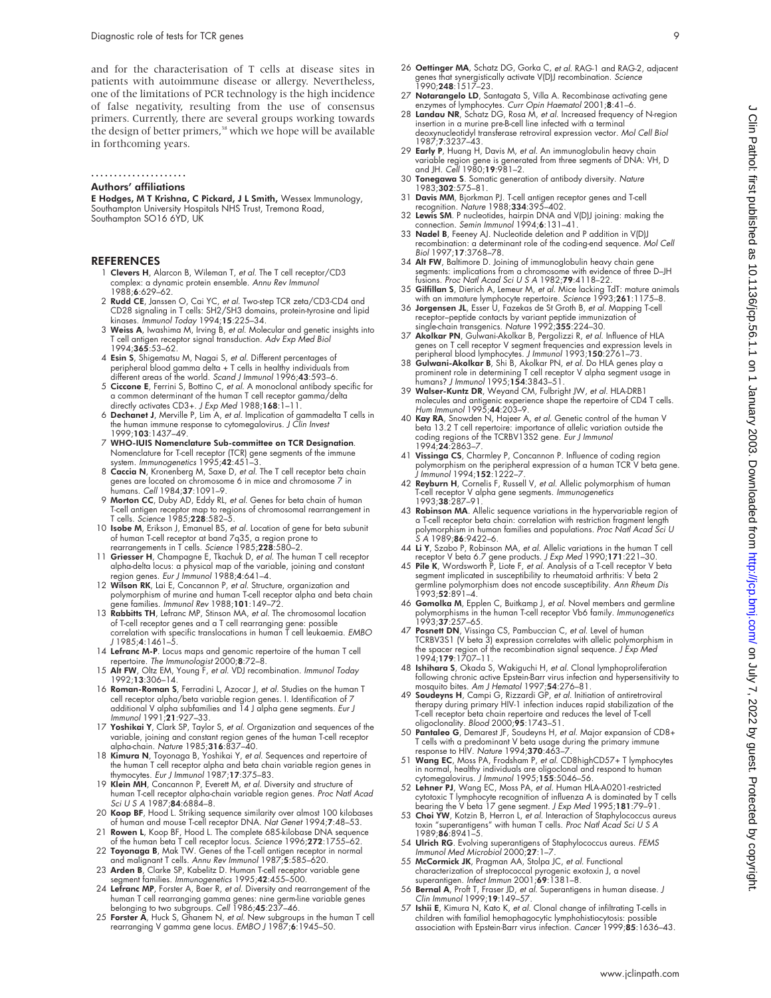and for the characterisation of T cells at disease sites in patients with autoimmune disease or allergy. Nevertheless, one of the limitations of PCR technology is the high incidence of false negativity, resulting from the use of consensus primers. Currently, there are several groups working towards the design of better primers,<sup>38</sup> which we hope will be available in forthcoming years.

#### ..................... Authors' affiliations

E Hodges, M T Krishna, C Pickard, J L Smith, Wessex Immunology, Southampton University Hospitals NHS Trust, Tremona Road, Southampton SO16 6YD, UK

#### **REFERENCES**

- 1 Clevers H, Alarcon B, Wileman T, et al. The T cell receptor/CD3 complex: a dynamic protein ensemble. Annu Rev Immunol 1988;6:629–62.
- 2 Rudd CE, Janssen O, Cai YC, et al. Two-step TCR zeta/CD3-CD4 and CD28 signaling in T cells: SH2/SH3 domains, protein-tyrosine and lipid kinases. Immunol Today 1994;15:225–34.
- 3 Weiss A, Iwashima M, Irving B, et al. Molecular and genetic insights into cell antigen receptor signal transduction. Adv Exp Med Biol 1994;365:53–62.
- 4 Esin S, Shigematsu M, Nagai S, et al. Different percentages of peripheral blood gamma delta + T cells in healthy individuals from<br>different areas of the world. *Scand J Immunol* 1996;**43**:593–6.
- 5 Ciccone E, Ferrini S, Bottino C, et al. A monoclonal antibody specific for a common determinant of the human T cell receptor gamma/delta directly activates CD3+. J Exp Med 1988;168: $1-11$
- 6 **Dechanet J**, Merville P, Lim A, *et al.* Implication of gammadelta T cells in the human immune response to cytomegalovirus. *J Clin Invest* 1999;103:1437–49.
- 7 WHO-IUIS Nomenclature Sub-committee on TCR Designation. Nomenclature for T-cell receptor (TCR) gene segments of the immune system. Immunogenetics 1995;42:451-3.
- 8 Caccia N, Kronenberg M, Saxe D, et al. The T cell receptor beta chain genes are located on chromosome 6 in mice and chromosome 7 in humans. Cell 1984;37:1091–9.
- 9 Morton CC, Duby AD, Eddy RL, et al. Genes for beta chain of human T-cell antigen receptor map to regions of chromosomal rearrangement in T cells. Science 1985;228:582-5.
- 10 Isobe M, Erikson J, Emanuel BS, et al. Location of gene for beta subunit of human T-cell receptor at band 7q35, a region prone to<br>rearrangements in T cells. *Science* 1985;**228**:580–2.<br>11 **Griesser H**, Champagne E, Tkachuk D, *et al*. The human T cell receptor
- alpha-delta locus: a physical map of the variable, joining and constant region genes. Eur J Immunol 1988;4:641–4.
- 12 Wilson RK, Lai E, Concannon P, et al. Structure, organization and polymorphism of murine and human T-cell receptor alpha and beta chain gene families. Immunol Rev 1988;101:149–72.
- 13 Rabbitts TH, Lefranc MP, Stinson MA, et al. The chromosomal location of T-cell receptor genes and a T cell rearranging gene: possible correlation with specific translocations in human T cell leukaemia. EMBO J 1985;4:1461–5.
- 14 Lefranc M-P. Locus maps and genomic repertoire of the human T cell repertoire. The Immunologist 2000;8:72–8.
- 15 Alt FW, Oltz EM, Young F, et al. VDJ recombination. Immunol Today 1992;13:306–14.
- 16 Roman-Roman S, Ferradini L, Azocar J, et al. Studies on the human T cell receptor alpha/beta variable region genes. I. Identification of 7 additional V alpha subfamilies and 14 J alpha gene segments. Eur J Immunol 1991;21:927–33.
- 17 Yoshikai Y, Clark SP, Taylor S, et al. Organization and sequences of the variable, joining and constant region genes of the human T-cell receptor<br>alpha-chain. Nature 1985;**316**:837–40.<br>18 **Kimura N**, Toyonaga B, Yoshikai Y, *et al*. Sequences and repertoire of
- the human T cell receptor alpha and beta chain variable region genes in thymocytes. Eur J Immunol 1987;17:375-83.
- 19 Klein MH, Concannon P, Everett M, et al. Diversity and structure of human T-cell receptor alpha-chain variable region genes. Proc Natl Acad Sci U S A 1987:84:6884-8.
- 20 Koop BF, Hood L. Striking sequence similarity over almost 100 kilobases of human and mouse T-cell receptor DNA. Nat Genet 1994;7:48–53.
- 21 Rowen L, Koop BF, Hood L. The complete 685-kilobase DNA sequence of the human beta T cell receptor locus. Science 1996;272:1755–62.
- 22 Toyonaga B, Mak TW. Genes of the T-cell antigen receptor in normal and malignant T cells. Annu Rev Immunol 1987;5:585–620.
- 23 Arden B, Clarke SP, Kabelitz D. Human T-cell receptor variable gene segment families. *Immunogenetics* 1995;4**2**:455–500.<br>24 **Lefranc MP**, Forster A, Baer R, *et al*. Diversity and rearrangement of the
- human T cell rearranging gamma genes: nine germ-line variable genes belonging to two subgroups. Cell 1986;45:237–46.
- 25 Forster A, Huck S, Ghanem N, et al. New subgroups in the human T cell rearranging V gamma gene locus. EMBO J 1987;6:1945–50.
- 26 Oettinger MA, Schatz DG, Gorka C, et al. RAG-1 and RAG-2, adjacent genes that synergistically activate V(D)J recombination. *Science*<br>1990;**248**:1517–23.
- 27 **Notarangelo LD**, Santagata S, Villa A. Recombinase activating gene<br>enzymes of lymphocytes. *Curr Opin Haematol* 2001;**8**:41–6.<br>28 **Landau NR**, Schatz DG, Rosa M, *et al*. Increased frequency of N-region
- insertion in a murine pre-B-cell line infected with a terminal deoxynucleotidyl transferase retroviral expression vector. Mol Cell Biol 1987;7:3237–43.
- 29 Early P, Huang H, Davis M, et al. An immunoglobulin heavy chain variable region gene is generated from three segments of DNA: VH, D and JH. Cell 1980;19:981–2.
- 30 Tonegawa S. Somatic generation of antibody diversity. Nature 1983;302:575–81.
- 31 Davis MM, Bjorkman PJ. T-cell antigen receptor genes and T-cell recognition. Nature 1988;334:395–402.
- 32 Lewis SM. P nucleotides, hairpin DNA and V(D)J joining: making the connection. Semin Immunol 1994;6:131–41.
- 33 Nadel B, Feeney AJ. Nucleotide deletion and P addition in V(D)J recombination: a determinant role of the coding-end sequence. Mol Cell Biol 1997;17:3768–78.
- 34 Alt FW, Baltimore D. Joining of immunoglobulin heavy chain gene segments: implications from a chromosome with evidence of three D–JH<br>fusions. *Proc Natl Acad Sci U S A* 1982;**79**:4118–22.
- 35 Gilfillan S, Dierich A, Lemeur M, et al. Mice lacking TdT: mature animals with an immature lymphocyte repertoire. Science 1993;261:1175–8.
- 36 Jorgensen JL, Esser U, Fazekas de St Groth B, et al. Mapping T-cell receptor–peptide contacts by variant peptide immunization of<br>single-chain transgenics. *Nature* 1992;**355**:224–30.<br>37 **Akolkar PN**, Gulwani-Akolkar B, Pergolizzi R, *et al*. Influence of HLA
- genes on T cell receptor V segment trequencies and expression levels in<br>peripheral blood lymphocytes. J Immunol 1993;150:2761-73.<br>Gulwani-Akolkar B, Shi B, Akolkar PN, *et al.* Do HLA genes play a<br>prominent role in determi
- humans? *J Immunol* 1995;**154**:3843–51<sup>'</sup>.
- 39 Walser-Kuntz DR, Weyand CM, Fulbright JW, et al. HLA-DRB1 molecules and antigenic experience shape the repertoire of CD4 T cells. Hum Immunol 1995;44:203–9.
- 40 Kay RA, Snowden N, Hajeer A, et al. Genetic control of the human V beta 13.2 T cell repertoire: importance of allelic variation outside the coding regions of the TCRBV13S2 gene. Eur J Immunol 1994;24:2863–7.
- 41 Vissinga CS, Charmley P, Concannon P. Influence of coding region polymorphism on the peripheral expression of a human TCR V beta gene. J Immunol 1994;152:1222–7.
- 42 Reyburn H, Cornelis F, Russell V, et al. Allelic polymorphism of human T-cell receptor V alpha gene segments. Immunogenetics 1993;38:287–91.
- 43 Robinson MA. Allelic sequence variations in the hypervariable region of a T-cell receptor beta chain: correlation with restriction fragment length<br>polymorphism in human families and populations. *Proc Natl Acad Sci U*<br>S A 1989;**86**:9422–6.
- 44 Li Y, Szabo P, Robinson MA, et al. Allelic variations in the human T cell
- receptor V beta 6.7 gene products. J Exp Med 1990;1**71**:221–30.<br>45 **Pile K**, Wordsworth P, Liote F, et al. Analysis of a T-cell receptor V beta<br>segment implicated in susceptibility to rheumatoid arthritis: V beta 2 germline polymorphism does not encode susceptibility. Ann Rheum Dis 1993;52:891–4.
- 46 Gomolka M, Epplen C, Buitkamp J, et al. Novel members and germline polymorphisms in the human T-cell receptor Vb6 family. Immunogenetics 1993;37:257–65.
- 47 Posnett DN, Vissinga CS, Pambuccian C, et al. Level of human TCRBV3S1 (V beta 3) expression correlates with allelic polymorphism in the spacer region of the recombination signal sequence. J Exp Med 1994;179:1707–11.
- 48 Ishihara S, Okada S, Wakiguchi H, et al. Clonal lymphoproliferation following chronic active Epstein-Barr virus infection and hypersensitivity to<br>mosquito bites. A*m J Hematol* 1997;**54**:276–81.
- 49 Soudeyns H, Campi G, Rizzardi GP, et al. Initiation of antiretroviral therapy during primary HIV-1 infection induces rapid stabilization of the T-cell receptor beta chain repertoire and reduces the level of T-cell oligoclonality. Blood 2000;95:1743–51.
- 50 Pantaleo G, Demarest JF, Soudeyns H, et al. Major expansion of CD8+ T cells with a predominant V beta usage during the primary immune response to HIV. Nature 1994;370:463–7.
- 51 Wang EC, Moss PA, Frodsham P, et al. CD8highCD57+ T lymphocytes in normal, healthy individuals are oligoclonal and respond to human cytomegalovirus. J Immunol 1995;155:5046–56.
- 52 Lehner PJ, Wang EC, Moss PA, et al. Human HLA-A0201-restricted cytotoxic T lymphocyte recognition of influenza A is dominated by T cells<br>bearing the V beta 17 gene segment. *J Exp Med* 1995;**181**:79–91.<br>53 **Choi YW**, Kotzin B, Herron L, *et al*. Interaction of Staphylococcus aureus
- toxin "superantigens" with human T cells. Proc Natl Acad Sci U S A 1989;86:8941–5.
- 54 Ulrich RG. Evolving superantigens of Staphylococcus aureus. FEMS Immunol Med Microbiol 2000;27:1–7.
- 55 McCormick JK, Pragman AA, Stolpa JC, et al. Functional characterization of streptococcal pyrogenic exotoxin J, a novel superantigen. *Infect Immun* 2001;69:1381–8.
- 56 Bernal A, Proft T, Fraser JD, et al. Superantigens in human disease. J Clin Immunol 1999;19:149–57.
- 57 Ishii E, Kimura N, Kato K, et al. Clonal change of infiltrating T-cells in children with familial hemophagocytic lymphohistiocytosis: possible association with Epstein-Barr virus infection. Cancer 1999;85:1636-43.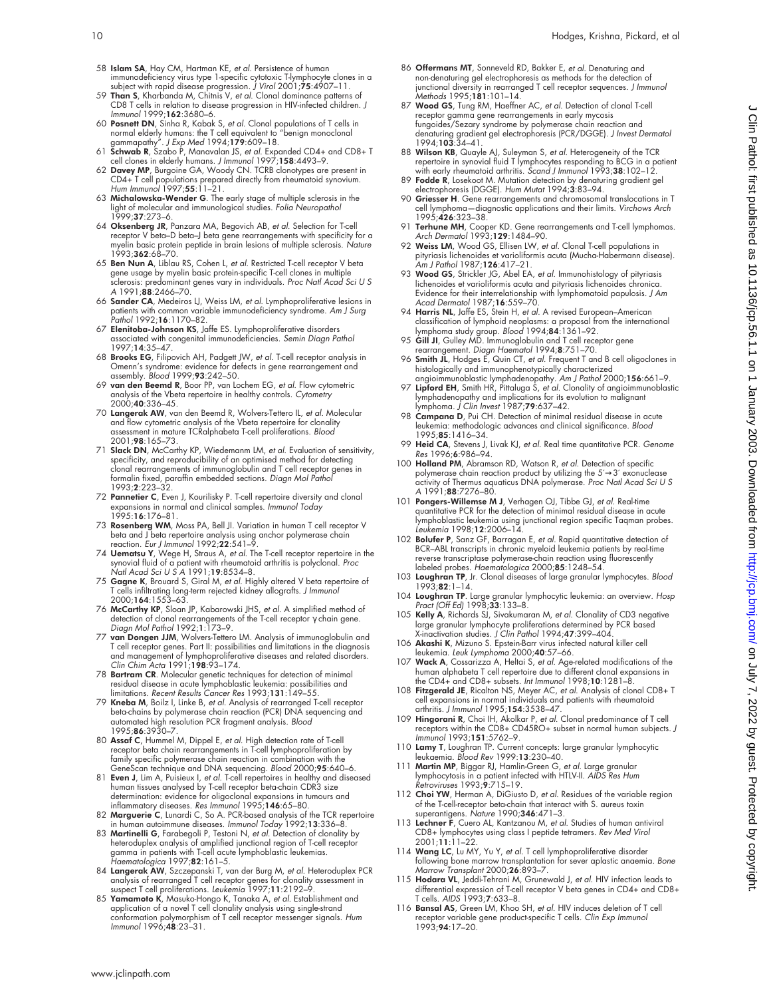- 58 Islam SA, Hay CM, Hartman KE, et al. Persistence of human immunodeficiency virus type 1-specific cytotoxic T-lymphocyte clones in a<br>subject with rapid disease progression. *J Virol* 2001;**75**:4907–11.
- 59 Than S, Kharbanda M, Chitnis V, et al. Clonal dominance patterns of CD8 T cells in relation to disease progression in HIV-infected children. J Immunol 1999;162:3680–6.
- 60 Posnett DN, Sinha R, Kabak S, et al. Clonal populations of T cells in
- normal elderly humans: the T cell equivalent to "benign monoclonal<br>gammapathy". J Exp Med 1994;**179:**609–18.<br>61 **Schwab R**, Szabo P, Manavalan JS, *et al.* Expanded CD4+ and CD8+ T<br>cell clones in elderly humans. J Immunol
- 62 Davey MP, Burgoine GA, Woody CN. TCRB clonotypes are present in CD4+ T cell populations prepared directly from rheumatoid synovium. Hum Immunol 1997;55:11–21.
- 63 Michalowska-Wender G. The early stage of multiple sclerosis in the light of molecular and immunological studies. *Folia Neuropathol*<br>1999;**37**:273–6.
- 64 Oksenberg JR, Panzara MA, Begovich AB, et al. Selection for T-cell receptor V beta–D beta–J beta gene rearrangements with specificity for a<br>myelin basic protein peptide in brain lesions of multiple sclerosis. *Nature*<br>1993;**362**:68–70.
- 65 Ben Nun A, Liblau RS, Cohen L, et al. Restricted T-cell receptor V beta gene usage by myelin basic protein-specific T-cell clones in multiple sclerosis: predominant genes vary in individuals. Proc Natl Acad Sci U S A 1991;**88**:2466–70.
- 66 Sander CA, Medeiros LJ, Weiss LM, et al. Lymphoproliferative lesions in patients with common variable immunodeficiency syndrome. Am J Surg Pathol 1992;**16**:1170–82.
- 67 Elenitoba-Johnson KS, Jaffe ES. Lymphoproliferative disorders associated with congenital immunodeficiencies. Semin Diagn Pathol 1997;14:35–47.
- 68 Brooks EG, Filipovich AH, Padgett JW, et al. T-cell receptor analysis in Omenn's syndrome: evidence for defects in gene rearrangement and assembly. Blood 1999;93:242–50.
- 69 van den Beemd R, Boor PP, van Lochem EG, et al. Flow cytometric analysis of the Vbeta repertoire in healthy controls. Cytometry 2000;40:336–45.
- 70 Langerak AW, van den Beemd R, Wolvers-Tettero IL, et al. Molecular and flow cytometric analysis of the Vbeta repertoire for clonality assessment in mature TCRalphabeta T-cell proliferations. Blood 2001;98:165–73.
- 71 Slack DN, McCarthy KP, Wiedemanm LM, et al. Evaluation of sensitivity, specificity, and reproducibility of an optimised method for detecting clonal rearrangements of immunoglobulin and T cell receptor genes in formalin fixed, paraffin embedded sections. Diagn Mol Pathol 1993;2:223–32.
- 72 Pannetier C, Even J, Kourilisky P. T-cell repertoire diversity and clonal expansions in normal and clinical samples. Immunol Today 1995:16:176–81.
- 73 Rosenberg WM, Moss PA, Bell JI. Variation in human T cell receptor V beta and J beta repertoire analysis using anchor polymerase chain reaction. Eur J Immunol 1992;22:541–9.
- 74 Uematsu Y, Wege H, Straus A, et al. The T-cell receptor repertoire in the synovial fluid of a patient with rheumatoid arthritis is polyclonal. Proc Natl Acad Sci U S A 1991;19:8534–8.
- 75 Gagne K, Brouard S, Giral M, et al. Highly altered V beta repertoire of T cells infiltrating long-term rejected kidney allografts. *J Immunol*<br>2000;**164**:1553–63.
- 76 McCarthy KP, Sloan JP, Kabarowski JHS, et al. A simplified method of detection of clonal rearrangements of the T-cell receptor γ chain gene. Diagn Mol Pathol 1992;1:173–9.
- 77 van Dongen JJM, Wolvers-Tettero LM. Analysis of immunoglobulin and T cell receptor genes. Part II: possibilities and limitations in the diagnosis and management of lymphoproliferative diseases and related disorders. Clin Chim Acta 1991;198:93–174.
- 78 Bartram CR. Molecular genetic techniques for detection of minimal residual disease in acute lymphoblastic leukemia: possibilities and limitations. Recent Results Cancer Res 1993;131:149–55.
- 79 Kneba M, Boilz I, Linke B, et al. Analysis of rearranged T-cell receptor beta-chains by polymerase chain reaction (PCR) DNA sequencing and automated high resolution PCR fragment analysis. Blood 1995;86:3930–7.
- 80 Assaf C, Hummel M, Dippel E, et al. High detection rate of T-cell receptor beta chain rearrangements in T-cell lymphoproliferation by family specific polymerase chain reaction in combination with the GeneScan technique and DNA sequencing. Blood 2000;95:640-6.
- 81 Even J, Lim A, Puisieux I, et al. T-cell repertoires in healthy and diseased human tissues analysed by T-cell receptor beta-chain CDR3 size
- determination: evidence for oligoclonal expansions in tumours and<br>inflammatory diseases. Res Immunol 1995;146:65-80.<br>Marguerie C, Lunardi C, So A. PCR-based analysis of the TCR repertoire<br>in human autoimmune diseases. Immu
- 83 Martinelli G, Farabegoli P, Testoni N, *et al*. Detection of clonality by<br>heteroduplex analysis of amplified junctional region of T-cell receptor<br>gamma in patients with T-cell acute lymphoblastic leukemias. Haematologica 1997;82:161–5.
- 84 Langerak AW, Szczepanski T, van der Burg M, et al. Heteroduplex PCR analysis of rearranged T cell receptor genes for clonality assessment in suspect T cell proliferations. Leukemia 1997;11:2192–9.
- 85 Yamamoto K, Masuko-Hongo K, Tanaka A, *et al.* Establishment and application of a novel T cell clonality analysis using single-strand conformation polymorphism of T cell receptor messenger signals. Hum Immunol 1996;48:23–31.
- 86 Offermans MT, Sonneveld RD, Bakker E, et al. Denaturing and non-denaturing gel electrophoresis as methods for the detection of junctional diversity in rearranged T cell receptor sequences. J Immunol Methods 1995;181:101-14.
- 87 Wood GS, Tung RM, Haeffner AC, et al. Detection of clonal T-cell receptor gamma gene rearrangements in early mycosis<br>fungoides/Sezary syndrome by polymerase chain reaction and<br>denaturing gradient gel electrophoresis (PCR/DGGE). *J Invest Dermatol*<br>1994;**103**:34–41.
- 88 Wilson KB, Quayle AJ, Suleyman S, et al. Heterogeneity of the TCR repertoire in synovial fluid T lymphocytes responding to BCG in a patient<br>with early rheumatoid arthritis. *Scand J Immunol* 1993;**38**:102–12.
- 89 Fodde R, Losekoot M. Mutation detection by denaturing gradient gel electrophoresis (DGGE). Hum Mutat 1994;3:83-94. 90 Griesser H. Gene rearrangements and chromosomal translocations in T
- cell lymphoma—diagnostic applications and their limits. Virchows Arch 1995;426:323–38.
- 91 Terhune MH, Cooper KD. Gene rearrangements and T-cell lymphomas. Arch Dermatol 1993;129:1484-90.
- 92 Weiss LM, Wood GS, Ellisen LW, et al. Clonal T-cell populations in pityriasis lichenoides et varioliformis acuta (Mucha-Habermann disease).<br>A*m J Pathol* 1987;**126**:417–21.
- 93 Wood GS, Strickler JG, Abel EA, et al. Immunohistology of pityriasis lichenoides et varioliformis acuta and pityriasis lichenoides chronica. Evidence for their interrelationship with lymphomatoid papulosis. J Am Acad Dermatol 1987;16:559–70.
- 94 Harris NL, Jaffe ES, Stein H, et al. A revised European-American classification of lymphoid neoplasms: a proposal from the international
- lymphoma study group. *Blood* 1994;**84**:1361–92.<br>95 **Gill JI**, Gulley MD. Immunoglobulin and T cell receptor gene<br>rearrangement. Diagn Haematol 1994;**8**:751–70.<br>96 **Smith JL**, Hodges E, Quin CT, et al. Frequent T and B cel
- 
- histologically and immunophenotypically characterized<br>angioimmunoblastic lymphadenopathy. Am J Pathol 2000;1**56**:661–9.<br>97 Lipford EH, Smith HR, Pittaluga S, *et al*. Clonality of angioimmunoblastic lymphadenopathy and implications for its evolution to malignant<br>lymphoma. *J Clin Invest* 1987;**79**:637–42.<br>98 **Campana D**, Pui CH. Detection of minimal residual disease in acute
- leukemia: methodologic advances and clinical significance. Blood 1995;85:1416–34.
- 99 Heid CA, Stevens J, Livak KJ, et al. Real time quantitative PCR. Genome Res 1996;6:986–94.
- 100 **Holland PM**, Abramson RD, Watson R, *et al.* Detection of specific polymerase chain reaction product by utilizing the 5′→3′ exonuclease activity of Thermus aquaticus DNA polymerase. *Proc Natl Acad Sci U S* 4 1991;**88**:7276–80.
- 101 Pongers-Willemse M J, Verhagen OJ, Tibbe GJ, et al. Real-time quantitative PCR for the detection of minimal residual disease in acute lymphoblastic leukemia using junctional region specific Taqman probes. Leukemia 1998;12:2006–14.
- 102 Bolufer P, Sanz GF, Barragan E, et al. Rapid quantitative detection of BCR–ABL transcripts in chronic myeloid leukemia patients by real-time reverse transcriptase polymerase-chain reaction using fluorescently labeled probes. Haematologica 2000;85:1248–54.
- 103 Loughran TP, Jr. Clonal diseases of large granular lymphocytes. Blood  $1993.82.1 - 14$
- 104 Loughran TP. Large granular lymphocytic leukemia: an overview. Hosp Pract (Off Ed) 1998;33:133-8. 105 Kelly A, Richards SJ, Sivakumaran M, et al. Clonality of CD3 negative
- large granular lymphocyte proliferations determined by PCR based X-inactivation studies. J Clin Pathol 1994;47:399–404.
- 106 Akashi K, Mizuno S. Epstein-Barr virus infected natural killer cell leukemia. Leuk Lymphoma 2000;40:57–66.
- 107 Wack A, Cossarizza A, Heltai S, et al. Age-related modifications of the human alphabeta T cell repertoire due to different clonal expansions in the CD4+ and CD8+ subsets. Int Immunol 1998;10:1281–8.
- 108 Fitzgerald JE, Ricalton NS, Meyer AC, et al. Analysis of clonal CD8+ T cell expansions in normal individuals and patients with rheumatoid arthritis. J Immunol 1995;154:3538–47.
- 109 **Hingorani R**, Choi IH, Akolkar P, *et al*. Clonal predominance of T cell<br>receptors within the CD8+ CD45RO+ subset in normal human subjects. J Immunol 1993;151:5762–9.
- 110 Lamy T, Loughran TP. Current concepts: large granular lymphocytic leukaemia. Blood Rev 1999:13:230–40.
- 111 Martin MP, Biggar RJ, Hamlin-Green G, *et al*. Large granular<br>lymphocytosis in a patient infected with HTLV-II. *AIDS Res Hum* Retroviruses 1993;9:715–19.
- 112 Choi YW, Herman A, DiGiusto D, et al. Residues of the variable region of the T-cell-receptor beta-chain that interact with S. aureus toxin<br>superantigens. *Nature* 1990;**346**:471–3.
- 113 Lechner F, Cuero AL, Kantzanou M, et al. Studies of human antiviral CD8+ lymphocytes using class I peptide tetramers. Rev Med Virol  $2001:11:11-22$ .
- 114 Wang LC, Lu MY, Yu Y, et al. T cell lymphoproliferative disorder following bone marrow transplantation for sever aplastic anaemia. Bone Marrow Transplant 2000;26:893–7.
- 115 Hodara VL, Jeddi-Tehrani M, Grunewald J, et al. HIV infection leads to differential expression of T-cell receptor V beta genes in CD4+ and CD8+ T cells. AIDS 1993;7:633–8.
- 116 Bansal AS, Green LM, Khoo SH, et al. HIV induces deletion of T cell receptor variable gene product-specific T cells. Clin Exp Immunol 1993;94:17–20.